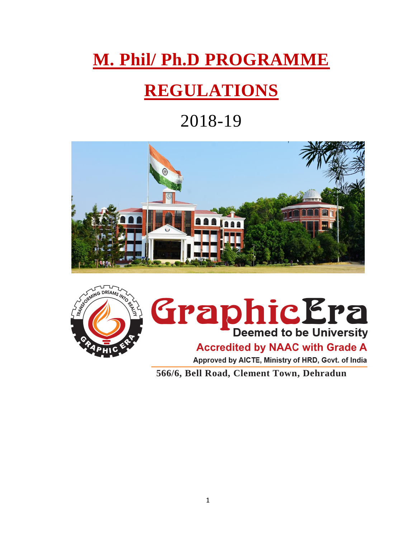## **M. Phil/ Ph.D PROGRAMME**

## **REGULATIONS**

### 2018-19





# **Graphic Era Accredited by NAAC with Grade A**

 **566/6, Bell Road, Clement Town, Dehradun**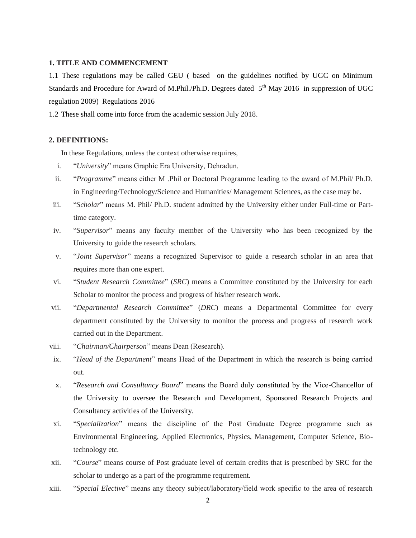#### **1. TITLE AND COMMENCEMENT**

1.1 These regulations may be called GEU ( based on the guidelines notified by UGC on Minimum Standards and Procedure for Award of M.Phil./Ph.D. Degrees dated  $5<sup>th</sup>$  May 2016 in suppression of UGC regulation 2009) Regulations 2016

1.2 These shall come into force from the academic session July 2018.

#### **2. DEFINITIONS:**

In these Regulations, unless the context otherwise requires,

- i. "*University*" means Graphic Era University, Dehradun.
- ii. "*Programme*" means either M .Phil or Doctoral Programme leading to the award of M.Phil/ Ph.D. in Engineering/Technology/Science and Humanities/ Management Sciences, as the case may be.
- iii. "*Scholar*" means M. Phil/ Ph.D. student admitted by the University either under Full-time or Parttime category.
- iv. "*Supervisor*" means any faculty member of the University who has been recognized by the University to guide the research scholars.
- v. "*Joint Supervisor*" means a recognized Supervisor to guide a research scholar in an area that requires more than one expert.
- vi. "*Student Research Committee*" (*SRC*) means a Committee constituted by the University for each Scholar to monitor the process and progress of his/her research work.
- vii. "*Departmental Research Committee*" (*DRC*) means a Departmental Committee for every department constituted by the University to monitor the process and progress of research work carried out in the Department.
- viii. "*Chairman/Chairperson*" means Dean (Research).
- ix. "*Head of the Department*" means Head of the Department in which the research is being carried out.
- x. "*Research and Consultancy Board*" means the Board duly constituted by the Vice-Chancellor of the University to oversee the Research and Development, Sponsored Research Projects and Consultancy activities of the University.
- xi. "*Specialization*" means the discipline of the Post Graduate Degree programme such as Environmental Engineering, Applied Electronics, Physics, Management, Computer Science, Biotechnology etc.
- xii. "*Course*" means course of Post graduate level of certain credits that is prescribed by SRC for the scholar to undergo as a part of the programme requirement.
- xiii. "*Special Elective*" means any theory subject/laboratory/field work specific to the area of research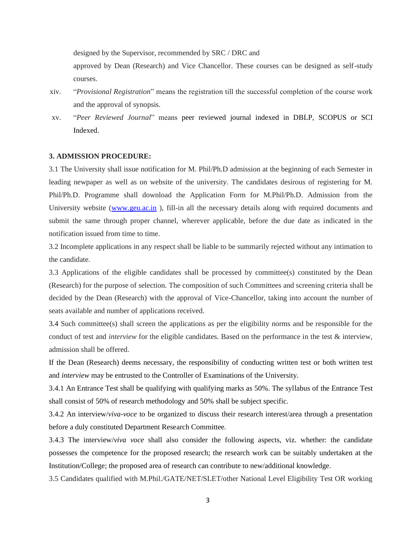designed by the Supervisor, recommended by SRC / DRC and

approved by Dean (Research) and Vice Chancellor. These courses can be designed as self-study courses.

- xiv. "*Provisional Registration*" means the registration till the successful completion of the course work and the approval of synopsis.
- xv. "*Peer Reviewed Journal*" means peer reviewed journal indexed in DBLP, SCOPUS or SCI Indexed.

#### **3. ADMISSION PROCEDURE:**

3.1 The University shall issue notification for M. Phil/Ph.D admission at the beginning of each Semester in leading newpaper as well as on website of the university. The candidates desirous of registering for M. Phil/Ph.D. Programme shall download the Application Form for M.Phil/Ph.D. Admission from the University website [\(www.geu.ac.in](http://www.geu.ac.in/) ), fill-in all the necessary details along with required documents and submit the same through proper channel, wherever applicable, before the due date as indicated in the notification issued from time to time.

3.2 Incomplete applications in any respect shall be liable to be summarily rejected without any intimation to the candidate.

3.3 Applications of the eligible candidates shall be processed by committee(s) constituted by the Dean (Research) for the purpose of selection. The composition of such Committees and screening criteria shall be decided by the Dean (Research) with the approval of Vice-Chancellor, taking into account the number of seats available and number of applications received.

3.4 Such committee(s) shall screen the applications as per the eligibility norms and be responsible for the conduct of test and *interview* for the eligible candidates. Based on the performance in the test & interview, admission shall be offered.

If the Dean (Research) deems necessary, the responsibility of conducting written test or both written test and *interview* may be entrusted to the Controller of Examinations of the University.

3.4.1 An Entrance Test shall be qualifying with qualifying marks as 50%. The syllabus of the Entrance Test shall consist of 50% of research methodology and 50% shall be subject specific.

3.4.2 An interview/*viva-voce* to be organized to discuss their research interest/area through a presentation before a duly constituted Department Research Committee.

3.4.3 The interview/*viva voce* shall also consider the following aspects, viz. whether: the candidate possesses the competence for the proposed research; the research work can be suitably undertaken at the Institution/College; the proposed area of research can contribute to new/additional knowledge.

3.5 Candidates qualified with M.Phil./GATE/NET/SLET/other National Level Eligibility Test OR working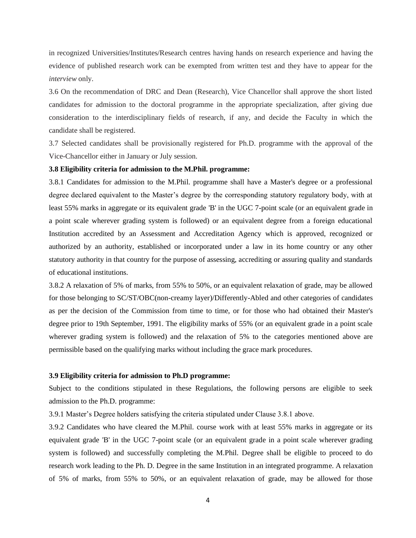in recognized Universities/Institutes/Research centres having hands on research experience and having the evidence of published research work can be exempted from written test and they have to appear for the *interview* only.

3.6 On the recommendation of DRC and Dean (Research), Vice Chancellor shall approve the short listed candidates for admission to the doctoral programme in the appropriate specialization, after giving due consideration to the interdisciplinary fields of research, if any, and decide the Faculty in which the candidate shall be registered.

3.7 Selected candidates shall be provisionally registered for Ph.D. programme with the approval of the Vice-Chancellor either in January or July session.

#### **3.8 Eligibility criteria for admission to the M.Phil. programme:**

3.8.1 Candidates for admission to the M.Phil. programme shall have a Master's degree or a professional degree declared equivalent to the Master's degree by the corresponding statutory regulatory body, with at least 55% marks in aggregate or its equivalent grade 'B' in the UGC 7-point scale (or an equivalent grade in a point scale wherever grading system is followed) or an equivalent degree from a foreign educational Institution accredited by an Assessment and Accreditation Agency which is approved, recognized or authorized by an authority, established or incorporated under a law in its home country or any other statutory authority in that country for the purpose of assessing, accrediting or assuring quality and standards of educational institutions.

3.8.2 A relaxation of 5% of marks, from 55% to 50%, or an equivalent relaxation of grade, may be allowed for those belonging to SC/ST/OBC(non-creamy layer)/Differently-Abled and other categories of candidates as per the decision of the Commission from time to time, or for those who had obtained their Master's degree prior to 19th September, 1991. The eligibility marks of 55% (or an equivalent grade in a point scale wherever grading system is followed) and the relaxation of 5% to the categories mentioned above are permissible based on the qualifying marks without including the grace mark procedures.

#### **3.9 Eligibility criteria for admission to Ph.D programme:**

Subject to the conditions stipulated in these Regulations, the following persons are eligible to seek admission to the Ph.D. programme:

3.9.1 Master's Degree holders satisfying the criteria stipulated under Clause 3.8.1 above.

3.9.2 Candidates who have cleared the M.Phil. course work with at least 55% marks in aggregate or its equivalent grade 'B' in the UGC 7-point scale (or an equivalent grade in a point scale wherever grading system is followed) and successfully completing the M.Phil. Degree shall be eligible to proceed to do research work leading to the Ph. D. Degree in the same Institution in an integrated programme. A relaxation of 5% of marks, from 55% to 50%, or an equivalent relaxation of grade, may be allowed for those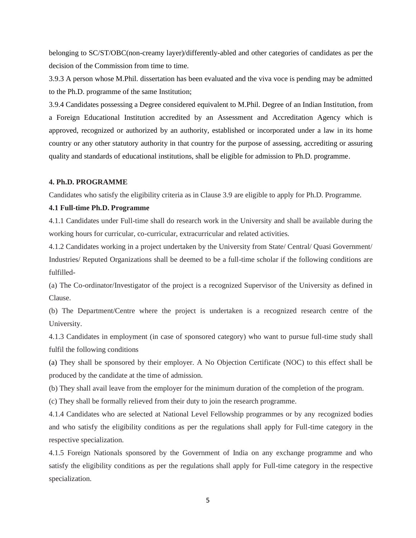belonging to SC/ST/OBC(non-creamy layer)/differently-abled and other categories of candidates as per the decision of the Commission from time to time.

3.9.3 A person whose M.Phil. dissertation has been evaluated and the viva voce is pending may be admitted to the Ph.D. programme of the same Institution;

3.9.4 Candidates possessing a Degree considered equivalent to M.Phil. Degree of an Indian Institution, from a Foreign Educational Institution accredited by an Assessment and Accreditation Agency which is approved, recognized or authorized by an authority, established or incorporated under a law in its home country or any other statutory authority in that country for the purpose of assessing, accrediting or assuring quality and standards of educational institutions, shall be eligible for admission to Ph.D. programme.

#### **4. Ph.D. PROGRAMME**

Candidates who satisfy the eligibility criteria as in Clause 3.9 are eligible to apply for Ph.D. Programme.

#### **4.1 Full-time Ph.D. Programme**

4.1.1 Candidates under Full-time shall do research work in the University and shall be available during the working hours for curricular, co-curricular, extracurricular and related activities.

4.1.2 Candidates working in a project undertaken by the University from State/ Central/ Quasi Government/ Industries/ Reputed Organizations shall be deemed to be a full-time scholar if the following conditions are fulfilled-

(a) The Co-ordinator/Investigator of the project is a recognized Supervisor of the University as defined in Clause.

(b) The Department/Centre where the project is undertaken is a recognized research centre of the University.

4.1.3 Candidates in employment (in case of sponsored category) who want to pursue full-time study shall fulfil the following conditions

(a) They shall be sponsored by their employer. A No Objection Certificate (NOC) to this effect shall be produced by the candidate at the time of admission.

(b) They shall avail leave from the employer for the minimum duration of the completion of the program.

(c) They shall be formally relieved from their duty to join the research programme.

4.1.4 Candidates who are selected at National Level Fellowship programmes or by any recognized bodies and who satisfy the eligibility conditions as per the regulations shall apply for Full-time category in the respective specialization.

4.1.5 Foreign Nationals sponsored by the Government of India on any exchange programme and who satisfy the eligibility conditions as per the regulations shall apply for Full-time category in the respective specialization.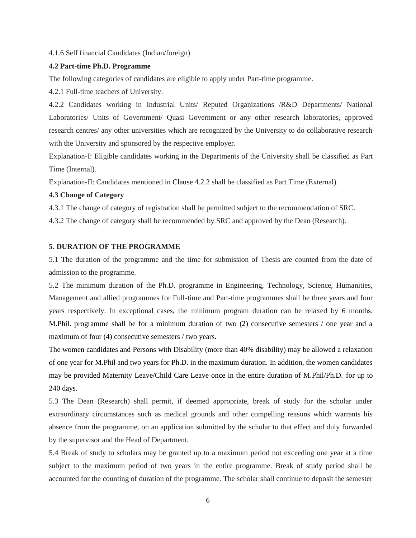4.1.6 Self financial Candidates (Indian/foreign)

#### **4.2 Part-time Ph.D. Programme**

The following categories of candidates are eligible to apply under Part-time programme.

4.2.1 Full-time teachers of University.

4.2.2 Candidates working in Industrial Units/ Reputed Organizations /R&D Departments/ National Laboratories/ Units of Government/ Quasi Government or any other research laboratories, approved research centres/ any other universities which are recognized by the University to do collaborative research with the University and sponsored by the respective employer.

Explanation-I: Eligible candidates working in the Departments of the University shall be classified as Part Time (Internal).

Explanation-II: Candidates mentioned in Clause 4.2.2 shall be classified as Part Time (External).

#### **4.3 Change of Category**

4.3.1 The change of category of registration shall be permitted subject to the recommendation of SRC.

4.3.2 The change of category shall be recommended by SRC and approved by the Dean (Research).

#### **5. DURATION OF THE PROGRAMME**

5.1 The duration of the programme and the time for submission of Thesis are counted from the date of admission to the programme.

5.2 The minimum duration of the Ph.D. programme in Engineering, Technology, Science, Humanities, Management and allied programmes for Full-time and Part-time programmes shall be three years and four years respectively. In exceptional cases, the minimum program duration can be relaxed by 6 months. M.Phil. programme shall be for a minimum duration of two (2) consecutive semesters / one year and a maximum of four (4) consecutive semesters / two years.

The women candidates and Persons with Disability (more than 40% disability) may be allowed a relaxation of one year for M.Phil and two years for Ph.D. in the maximum duration. In addition, the women candidates may be provided Maternity Leave/Child Care Leave once in the entire duration of M.Phil/Ph.D. for up to 240 days.

5.3 The Dean (Research) shall permit, if deemed appropriate, break of study for the scholar under extraordinary circumstances such as medical grounds and other compelling reasons which warrants his absence from the programme, on an application submitted by the scholar to that effect and duly forwarded by the supervisor and the Head of Department.

5.4 Break of study to scholars may be granted up to a maximum period not exceeding one year at a time subject to the maximum period of two years in the entire programme. Break of study period shall be accounted for the counting of duration of the programme. The scholar shall continue to deposit the semester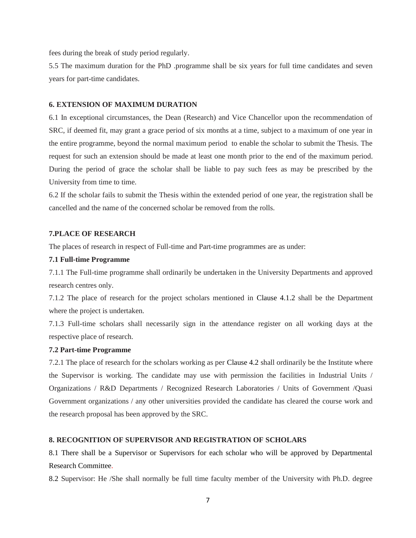fees during the break of study period regularly.

5.5 The maximum duration for the PhD .programme shall be six years for full time candidates and seven years for part-time candidates.

#### **6. EXTENSION OF MAXIMUM DURATION**

6.1 In exceptional circumstances, the Dean (Research) and Vice Chancellor upon the recommendation of SRC, if deemed fit, may grant a grace period of six months at a time, subject to a maximum of one year in the entire programme, beyond the normal maximum period to enable the scholar to submit the Thesis. The request for such an extension should be made at least one month prior to the end of the maximum period. During the period of grace the scholar shall be liable to pay such fees as may be prescribed by the University from time to time.

6.2 If the scholar fails to submit the Thesis within the extended period of one year, the registration shall be cancelled and the name of the concerned scholar be removed from the rolls.

#### **7.PLACE OF RESEARCH**

The places of research in respect of Full-time and Part-time programmes are as under:

#### **7.1 Full-time Programme**

7.1.1 The Full-time programme shall ordinarily be undertaken in the University Departments and approved research centres only.

7.1.2 The place of research for the project scholars mentioned in Clause 4.1.2 shall be the Department where the project is undertaken.

7.1.3 Full-time scholars shall necessarily sign in the attendance register on all working days at the respective place of research.

#### **7.2 Part-time Programme**

7.2.1 The place of research for the scholars working as per Clause 4.2 shall ordinarily be the Institute where the Supervisor is working. The candidate may use with permission the facilities in Industrial Units / Organizations / R&D Departments / Recognized Research Laboratories / Units of Government /Quasi Government organizations / any other universities provided the candidate has cleared the course work and the research proposal has been approved by the SRC.

#### **8. RECOGNITION OF SUPERVISOR AND REGISTRATION OF SCHOLARS**

8.1 There shall be a Supervisor or Supervisors for each scholar who will be approved by Departmental Research Committee.

8.2 Supervisor: He /She shall normally be full time faculty member of the University with Ph.D. degree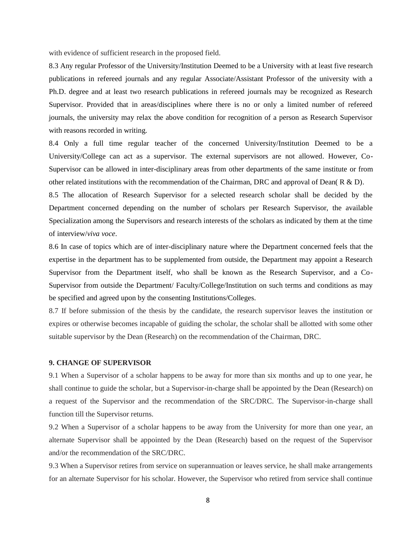with evidence of sufficient research in the proposed field.

8.3 Any regular Professor of the University/Institution Deemed to be a University with at least five research publications in refereed journals and any regular Associate/Assistant Professor of the university with a Ph.D. degree and at least two research publications in refereed journals may be recognized as Research Supervisor. Provided that in areas/disciplines where there is no or only a limited number of refereed journals, the university may relax the above condition for recognition of a person as Research Supervisor with reasons recorded in writing.

8.4 Only a full time regular teacher of the concerned University/Institution Deemed to be a University/College can act as a supervisor. The external supervisors are not allowed. However, Co-Supervisor can be allowed in inter-disciplinary areas from other departments of the same institute or from other related institutions with the recommendation of the Chairman, DRC and approval of Dean( R & D).

8.5 The allocation of Research Supervisor for a selected research scholar shall be decided by the Department concerned depending on the number of scholars per Research Supervisor, the available Specialization among the Supervisors and research interests of the scholars as indicated by them at the time of interview/*viva voce*.

8.6 In case of topics which are of inter-disciplinary nature where the Department concerned feels that the expertise in the department has to be supplemented from outside, the Department may appoint a Research Supervisor from the Department itself, who shall be known as the Research Supervisor, and a Co-Supervisor from outside the Department/ Faculty/College/Institution on such terms and conditions as may be specified and agreed upon by the consenting Institutions/Colleges.

8.7 If before submission of the thesis by the candidate, the research supervisor leaves the institution or expires or otherwise becomes incapable of guiding the scholar, the scholar shall be allotted with some other suitable supervisor by the Dean (Research) on the recommendation of the Chairman, DRC.

#### **9. CHANGE OF SUPERVISOR**

9.1 When a Supervisor of a scholar happens to be away for more than six months and up to one year, he shall continue to guide the scholar, but a Supervisor-in-charge shall be appointed by the Dean (Research) on a request of the Supervisor and the recommendation of the SRC/DRC. The Supervisor-in-charge shall function till the Supervisor returns.

9.2 When a Supervisor of a scholar happens to be away from the University for more than one year, an alternate Supervisor shall be appointed by the Dean (Research) based on the request of the Supervisor and/or the recommendation of the SRC/DRC.

9.3 When a Supervisor retires from service on superannuation or leaves service, he shall make arrangements for an alternate Supervisor for his scholar. However, the Supervisor who retired from service shall continue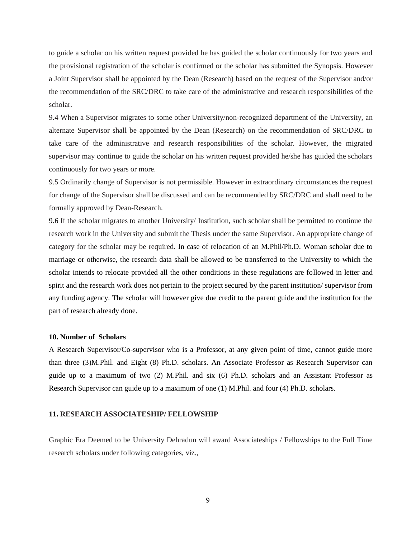to guide a scholar on his written request provided he has guided the scholar continuously for two years and the provisional registration of the scholar is confirmed or the scholar has submitted the Synopsis. However a Joint Supervisor shall be appointed by the Dean (Research) based on the request of the Supervisor and/or the recommendation of the SRC/DRC to take care of the administrative and research responsibilities of the scholar.

9.4 When a Supervisor migrates to some other University/non-recognized department of the University, an alternate Supervisor shall be appointed by the Dean (Research) on the recommendation of SRC/DRC to take care of the administrative and research responsibilities of the scholar. However, the migrated supervisor may continue to guide the scholar on his written request provided he/she has guided the scholars continuously for two years or more.

9.5 Ordinarily change of Supervisor is not permissible. However in extraordinary circumstances the request for change of the Supervisor shall be discussed and can be recommended by SRC/DRC and shall need to be formally approved by Dean-Research.

9.6 If the scholar migrates to another University/ Institution, such scholar shall be permitted to continue the research work in the University and submit the Thesis under the same Supervisor. An appropriate change of category for the scholar may be required. In case of relocation of an M.Phil/Ph.D. Woman scholar due to marriage or otherwise, the research data shall be allowed to be transferred to the University to which the scholar intends to relocate provided all the other conditions in these regulations are followed in letter and spirit and the research work does not pertain to the project secured by the parent institution/ supervisor from any funding agency. The scholar will however give due credit to the parent guide and the institution for the part of research already done.

#### **10. Number of Scholars**

A Research Supervisor/Co-supervisor who is a Professor, at any given point of time, cannot guide more than three (3)M.Phil. and Eight (8) Ph.D. scholars. An Associate Professor as Research Supervisor can guide up to a maximum of two (2) M.Phil. and six (6) Ph.D. scholars and an Assistant Professor as Research Supervisor can guide up to a maximum of one (1) M.Phil. and four (4) Ph.D. scholars.

#### **11. RESEARCH ASSOCIATESHIP/ FELLOWSHIP**

Graphic Era Deemed to be University Dehradun will award Associateships / Fellowships to the Full Time research scholars under following categories, viz.,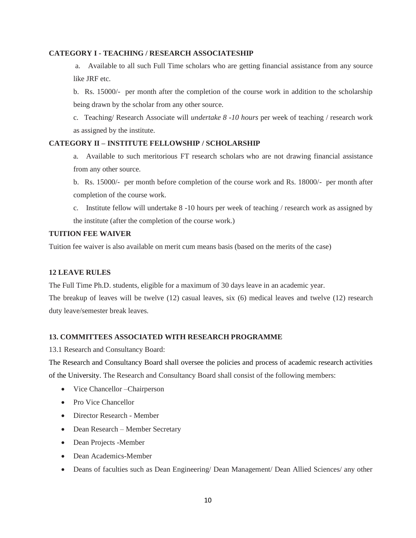#### **CATEGORY I - TEACHING / RESEARCH ASSOCIATESHIP**

a. Available to all such Full Time scholars who are getting financial assistance from any source like JRF etc.

b. Rs. 15000/- per month after the completion of the course work in addition to the scholarship being drawn by the scholar from any other source.

c. Teaching/ Research Associate will *undertake 8 -10 hours* per week of teaching / research work as assigned by the institute.

#### **CATEGORY II – INSTITUTE FELLOWSHIP / SCHOLARSHIP**

a. Available to such meritorious FT research scholars who are not drawing financial assistance from any other source.

b. Rs. 15000/- per month before completion of the course work and Rs. 18000/- per month after completion of the course work.

c. Institute fellow will undertake 8 -10 hours per week of teaching / research work as assigned by the institute (after the completion of the course work.)

#### **TUITION FEE WAIVER**

Tuition fee waiver is also available on merit cum means basis (based on the merits of the case)

#### **12 LEAVE RULES**

The Full Time Ph.D. students, eligible for a maximum of 30 days leave in an academic year.

The breakup of leaves will be twelve (12) casual leaves, six (6) medical leaves and twelve (12) research duty leave/semester break leaves.

#### **13. COMMITTEES ASSOCIATED WITH RESEARCH PROGRAMME**

13.1 Research and Consultancy Board:

The Research and Consultancy Board shall oversee the policies and process of academic research activities of the University. The Research and Consultancy Board shall consist of the following members:

- Vice Chancellor Chairperson
- Pro Vice Chancellor
- Director Research Member
- Dean Research Member Secretary
- Dean Projects -Member
- Dean Academics-Member
- Deans of faculties such as Dean Engineering/ Dean Management/ Dean Allied Sciences/ any other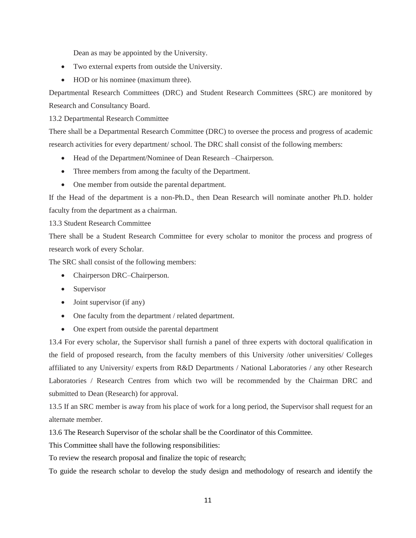Dean as may be appointed by the University.

- Two external experts from outside the University.
- HOD or his nominee (maximum three).

Departmental Research Committees (DRC) and Student Research Committees (SRC) are monitored by Research and Consultancy Board.

13.2 Departmental Research Committee

There shall be a Departmental Research Committee (DRC) to oversee the process and progress of academic research activities for every department/ school. The DRC shall consist of the following members:

- Head of the Department/Nominee of Dean Research –Chairperson.
- Three members from among the faculty of the Department.
- One member from outside the parental department.

If the Head of the department is a non-Ph.D., then Dean Research will nominate another Ph.D. holder faculty from the department as a chairman.

13.3 Student Research Committee

There shall be a Student Research Committee for every scholar to monitor the process and progress of research work of every Scholar.

The SRC shall consist of the following members:

- Chairperson DRC–Chairperson.
- Supervisor
- Joint supervisor (if any)
- One faculty from the department / related department.
- One expert from outside the parental department

13.4 For every scholar, the Supervisor shall furnish a panel of three experts with doctoral qualification in the field of proposed research, from the faculty members of this University /other universities/ Colleges affiliated to any University/ experts from R&D Departments / National Laboratories / any other Research Laboratories / Research Centres from which two will be recommended by the Chairman DRC and submitted to Dean (Research) for approval.

13.5 If an SRC member is away from his place of work for a long period, the Supervisor shall request for an alternate member.

13.6 The Research Supervisor of the scholar shall be the Coordinator of this Committee.

This Committee shall have the following responsibilities:

To review the research proposal and finalize the topic of research;

To guide the research scholar to develop the study design and methodology of research and identify the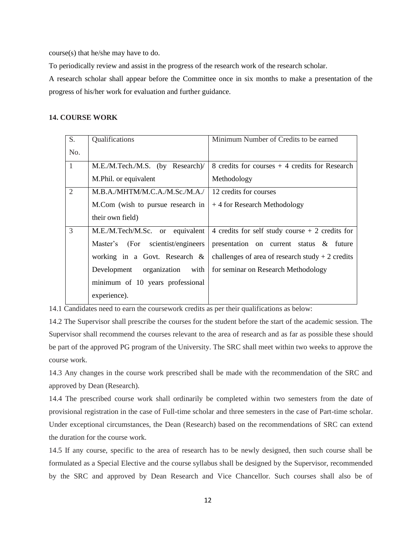course(s) that he/she may have to do.

To periodically review and assist in the progress of the research work of the research scholar.

A research scholar shall appear before the Committee once in six months to make a presentation of the progress of his/her work for evaluation and further guidance.

#### **14. COURSE WORK**

| S.             | Qualifications                          | Minimum Number of Credits to be earned            |
|----------------|-----------------------------------------|---------------------------------------------------|
| No.            |                                         |                                                   |
| $\overline{1}$ | M.E./M.Tech./M.S. (by Research)/        | 8 credits for courses $+4$ credits for Research   |
|                | M.Phil. or equivalent                   | Methodology                                       |
| $\overline{2}$ | M.B.A./MHTM/M.C.A./M.Sc./M.A./          | 12 credits for courses                            |
|                | M.Com (wish to pursue research in       | +4 for Research Methodology                       |
|                | their own field)                        |                                                   |
| $\mathcal{R}$  | M.E./M.Tech/M.Sc. or equivalent         | 4 credits for self study course $+2$ credits for  |
|                | scientist/engineers<br>Master's<br>(For | presentation on current status & future           |
|                | working in a Govt. Research $\&$        | challenges of area of research study $+2$ credits |
|                | organization<br>with<br>Development     | for seminar on Research Methodology               |
|                | minimum of 10 years professional        |                                                   |
|                | experience).                            |                                                   |

14.1 Candidates need to earn the coursework credits as per their qualifications as below:

14.2 The Supervisor shall prescribe the courses for the student before the start of the academic session. The Supervisor shall recommend the courses relevant to the area of research and as far as possible these should be part of the approved PG program of the University. The SRC shall meet within two weeks to approve the course work.

14.3 Any changes in the course work prescribed shall be made with the recommendation of the SRC and approved by Dean (Research).

14.4 The prescribed course work shall ordinarily be completed within two semesters from the date of provisional registration in the case of Full-time scholar and three semesters in the case of Part-time scholar. Under exceptional circumstances, the Dean (Research) based on the recommendations of SRC can extend the duration for the course work.

14.5 If any course, specific to the area of research has to be newly designed, then such course shall be formulated as a Special Elective and the course syllabus shall be designed by the Supervisor, recommended by the SRC and approved by Dean Research and Vice Chancellor. Such courses shall also be of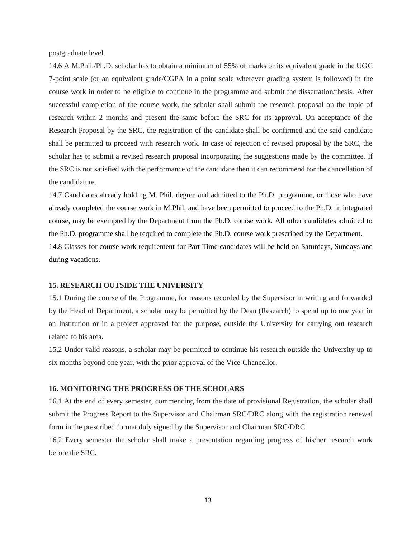postgraduate level.

14.6 A M.Phil./Ph.D. scholar has to obtain a minimum of 55% of marks or its equivalent grade in the UGC 7-point scale (or an equivalent grade/CGPA in a point scale wherever grading system is followed) in the course work in order to be eligible to continue in the programme and submit the dissertation/thesis. After successful completion of the course work, the scholar shall submit the research proposal on the topic of research within 2 months and present the same before the SRC for its approval. On acceptance of the Research Proposal by the SRC, the registration of the candidate shall be confirmed and the said candidate shall be permitted to proceed with research work. In case of rejection of revised proposal by the SRC, the scholar has to submit a revised research proposal incorporating the suggestions made by the committee. If the SRC is not satisfied with the performance of the candidate then it can recommend for the cancellation of the candidature.

14.7 Candidates already holding M. Phil. degree and admitted to the Ph.D. programme, or those who have already completed the course work in M.Phil. and have been permitted to proceed to the Ph.D. in integrated course, may be exempted by the Department from the Ph.D. course work. All other candidates admitted to the Ph.D. programme shall be required to complete the Ph.D. course work prescribed by the Department. 14.8 Classes for course work requirement for Part Time candidates will be held on Saturdays, Sundays and during vacations.

#### **15. RESEARCH OUTSIDE THE UNIVERSITY**

15.1 During the course of the Programme, for reasons recorded by the Supervisor in writing and forwarded by the Head of Department, a scholar may be permitted by the Dean (Research) to spend up to one year in an Institution or in a project approved for the purpose, outside the University for carrying out research related to his area.

15.2 Under valid reasons, a scholar may be permitted to continue his research outside the University up to six months beyond one year, with the prior approval of the Vice-Chancellor.

#### **16. MONITORING THE PROGRESS OF THE SCHOLARS**

16.1 At the end of every semester, commencing from the date of provisional Registration, the scholar shall submit the Progress Report to the Supervisor and Chairman SRC/DRC along with the registration renewal form in the prescribed format duly signed by the Supervisor and Chairman SRC/DRC.

16.2 Every semester the scholar shall make a presentation regarding progress of his/her research work before the SRC.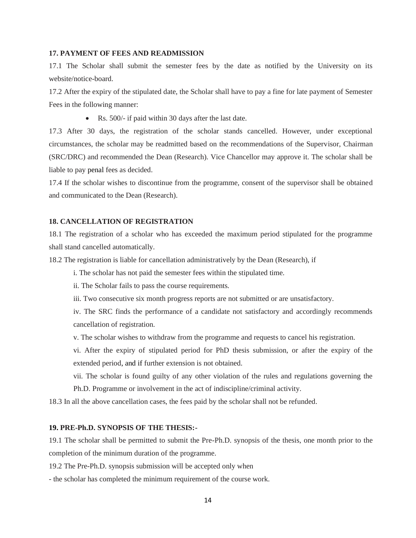#### **17. PAYMENT OF FEES AND READMISSION**

17.1 The Scholar shall submit the semester fees by the date as notified by the University on its website/notice-board.

17.2 After the expiry of the stipulated date, the Scholar shall have to pay a fine for late payment of Semester Fees in the following manner:

• Rs. 500/- if paid within 30 days after the last date.

17.3 After 30 days, the registration of the scholar stands cancelled. However, under exceptional circumstances, the scholar may be readmitted based on the recommendations of the Supervisor, Chairman (SRC/DRC) and recommended the Dean (Research). Vice Chancellor may approve it. The scholar shall be liable to pay penal fees as decided.

17.4 If the scholar wishes to discontinue from the programme, consent of the supervisor shall be obtained and communicated to the Dean (Research).

#### **18. CANCELLATION OF REGISTRATION**

18.1 The registration of a scholar who has exceeded the maximum period stipulated for the programme shall stand cancelled automatically.

18.2 The registration is liable for cancellation administratively by the Dean (Research), if

i. The scholar has not paid the semester fees within the stipulated time.

ii. The Scholar fails to pass the course requirements.

iii. Two consecutive six month progress reports are not submitted or are unsatisfactory.

iv. The SRC finds the performance of a candidate not satisfactory and accordingly recommends cancellation of registration.

v. The scholar wishes to withdraw from the programme and requests to cancel his registration.

vi. After the expiry of stipulated period for PhD thesis submission, or after the expiry of the extended period, and if further extension is not obtained.

vii. The scholar is found guilty of any other violation of the rules and regulations governing the

Ph.D. Programme or involvement in the act of indiscipline/criminal activity.

18.3 In all the above cancellation cases, the fees paid by the scholar shall not be refunded.

#### **19. PRE-Ph.D. SYNOPSIS OF THE THESIS:-**

19.1 The scholar shall be permitted to submit the Pre-Ph.D. synopsis of the thesis, one month prior to the completion of the minimum duration of the programme.

19.2 The Pre-Ph.D. synopsis submission will be accepted only when

- the scholar has completed the minimum requirement of the course work.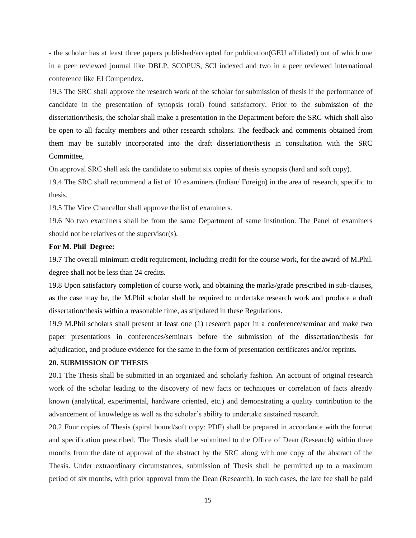- the scholar has at least three papers published/accepted for publication(GEU affiliated) out of which one in a peer reviewed journal like DBLP, SCOPUS, SCI indexed and two in a peer reviewed international conference like EI Compendex.

19.3 The SRC shall approve the research work of the scholar for submission of thesis if the performance of candidate in the presentation of synopsis (oral) found satisfactory. Prior to the submission of the dissertation/thesis, the scholar shall make a presentation in the Department before the SRC which shall also be open to all faculty members and other research scholars. The feedback and comments obtained from them may be suitably incorporated into the draft dissertation/thesis in consultation with the SRC Committee,

On approval SRC shall ask the candidate to submit six copies of thesis synopsis (hard and soft copy).

19.4 The SRC shall recommend a list of 10 examiners (Indian/ Foreign) in the area of research, specific to thesis.

19.5 The Vice Chancellor shall approve the list of examiners.

19.6 No two examiners shall be from the same Department of same Institution. The Panel of examiners should not be relatives of the supervisor(s).

#### **For M. Phil Degree:**

19.7 The overall minimum credit requirement, including credit for the course work, for the award of M.Phil. degree shall not be less than 24 credits.

19.8 Upon satisfactory completion of course work, and obtaining the marks/grade prescribed in sub-clauses, as the case may be, the M.Phil scholar shall be required to undertake research work and produce a draft dissertation/thesis within a reasonable time, as stipulated in these Regulations.

19.9 M.Phil scholars shall present at least one (1) research paper in a conference/seminar and make two paper presentations in conferences/seminars before the submission of the dissertation/thesis for adjudication, and produce evidence for the same in the form of presentation certificates and/or reprints.

#### **20. SUBMISSION OF THESIS**

20.1 The Thesis shall be submitted in an organized and scholarly fashion. An account of original research work of the scholar leading to the discovery of new facts or techniques or correlation of facts already known (analytical, experimental, hardware oriented, etc.) and demonstrating a quality contribution to the advancement of knowledge as well as the scholar's ability to undertake sustained research.

20.2 Four copies of Thesis (spiral bound/soft copy: PDF) shall be prepared in accordance with the format and specification prescribed. The Thesis shall be submitted to the Office of Dean (Research) within three months from the date of approval of the abstract by the SRC along with one copy of the abstract of the Thesis. Under extraordinary circumstances, submission of Thesis shall be permitted up to a maximum period of six months, with prior approval from the Dean (Research). In such cases, the late fee shall be paid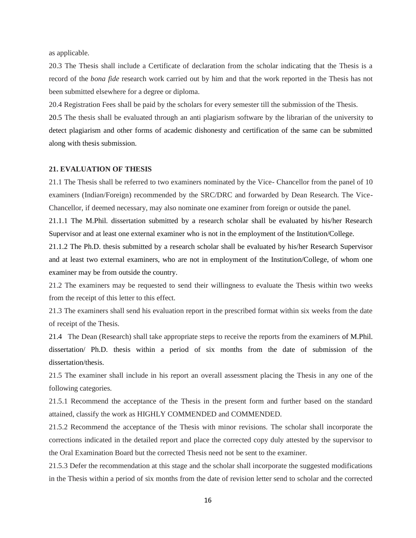as applicable.

20.3 The Thesis shall include a Certificate of declaration from the scholar indicating that the Thesis is a record of the *bona fide* research work carried out by him and that the work reported in the Thesis has not been submitted elsewhere for a degree or diploma.

20.4 Registration Fees shall be paid by the scholars for every semester till the submission of the Thesis.

20.5 The thesis shall be evaluated through an anti plagiarism software by the librarian of the university to detect plagiarism and other forms of academic dishonesty and certification of the same can be submitted along with thesis submission.

#### **21. EVALUATION OF THESIS**

21.1 The Thesis shall be referred to two examiners nominated by the Vice- Chancellor from the panel of 10 examiners (Indian/Foreign) recommended by the SRC/DRC and forwarded by Dean Research. The Vice-Chancellor, if deemed necessary, may also nominate one examiner from foreign or outside the panel.

21.1.1 The M.Phil. dissertation submitted by a research scholar shall be evaluated by his/her Research Supervisor and at least one external examiner who is not in the employment of the Institution/College.

21.1.2 The Ph.D. thesis submitted by a research scholar shall be evaluated by his/her Research Supervisor and at least two external examiners, who are not in employment of the Institution/College, of whom one examiner may be from outside the country.

21.2 The examiners may be requested to send their willingness to evaluate the Thesis within two weeks from the receipt of this letter to this effect.

21.3 The examiners shall send his evaluation report in the prescribed format within six weeks from the date of receipt of the Thesis.

21.4 The Dean (Research) shall take appropriate steps to receive the reports from the examiners of M.Phil. dissertation/ Ph.D. thesis within a period of six months from the date of submission of the dissertation/thesis.

21.5 The examiner shall include in his report an overall assessment placing the Thesis in any one of the following categories.

21.5.1 Recommend the acceptance of the Thesis in the present form and further based on the standard attained, classify the work as HIGHLY COMMENDED and COMMENDED.

21.5.2 Recommend the acceptance of the Thesis with minor revisions. The scholar shall incorporate the corrections indicated in the detailed report and place the corrected copy duly attested by the supervisor to the Oral Examination Board but the corrected Thesis need not be sent to the examiner.

21.5.3 Defer the recommendation at this stage and the scholar shall incorporate the suggested modifications in the Thesis within a period of six months from the date of revision letter send to scholar and the corrected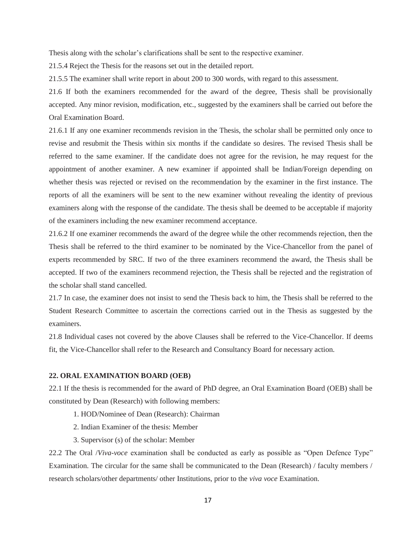Thesis along with the scholar's clarifications shall be sent to the respective examiner.

21.5.4 Reject the Thesis for the reasons set out in the detailed report.

21.5.5 The examiner shall write report in about 200 to 300 words, with regard to this assessment.

21.6 If both the examiners recommended for the award of the degree, Thesis shall be provisionally accepted. Any minor revision, modification, etc., suggested by the examiners shall be carried out before the Oral Examination Board.

21.6.1 If any one examiner recommends revision in the Thesis, the scholar shall be permitted only once to revise and resubmit the Thesis within six months if the candidate so desires. The revised Thesis shall be referred to the same examiner. If the candidate does not agree for the revision, he may request for the appointment of another examiner. A new examiner if appointed shall be Indian/Foreign depending on whether thesis was rejected or revised on the recommendation by the examiner in the first instance. The reports of all the examiners will be sent to the new examiner without revealing the identity of previous examiners along with the response of the candidate. The thesis shall be deemed to be acceptable if majority of the examiners including the new examiner recommend acceptance.

21.6.2 If one examiner recommends the award of the degree while the other recommends rejection, then the Thesis shall be referred to the third examiner to be nominated by the Vice-Chancellor from the panel of experts recommended by SRC. If two of the three examiners recommend the award, the Thesis shall be accepted. If two of the examiners recommend rejection, the Thesis shall be rejected and the registration of the scholar shall stand cancelled.

21.7 In case, the examiner does not insist to send the Thesis back to him, the Thesis shall be referred to the Student Research Committee to ascertain the corrections carried out in the Thesis as suggested by the examiners.

21.8 Individual cases not covered by the above Clauses shall be referred to the Vice-Chancellor. If deems fit, the Vice-Chancellor shall refer to the Research and Consultancy Board for necessary action.

#### **22. ORAL EXAMINATION BOARD (OEB)**

22.1 If the thesis is recommended for the award of PhD degree, an Oral Examination Board (OEB) shall be constituted by Dean (Research) with following members:

- 1. HOD/Nominee of Dean (Research): Chairman
- 2. Indian Examiner of the thesis: Member
- 3. Supervisor (s) of the scholar: Member

22.2 The Oral /*Viva-voce* examination shall be conducted as early as possible as "Open Defence Type" Examination. The circular for the same shall be communicated to the Dean (Research) / faculty members / research scholars/other departments/ other Institutions, prior to the *viva voce* Examination.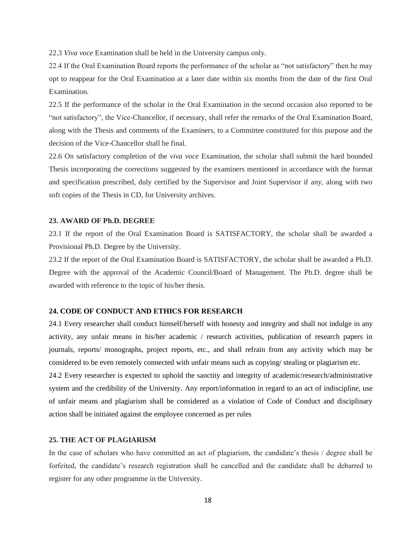22.3 *Viva voce* Examination shall be held in the University campus only.

22.4 If the Oral Examination Board reports the performance of the scholar as "not satisfactory" then he may opt to reappear for the Oral Examination at a later date within six months from the date of the first Oral Examination.

22.5 If the performance of the scholar in the Oral Examination in the second occasion also reported to be "not satisfactory", the Vice-Chancellor, if necessary, shall refer the remarks of the Oral Examination Board, along with the Thesis and comments of the Examiners, to a Committee constituted for this purpose and the decision of the Vice-Chancellor shall be final.

22.6 On satisfactory completion of the *viva voce* Examination, the scholar shall submit the hard bounded Thesis incorporating the corrections suggested by the examiners mentioned in accordance with the format and specification prescribed, duly certified by the Supervisor and Joint Supervisor if any, along with two soft copies of the Thesis in CD, for University archives.

#### **23. AWARD OF Ph.D. DEGREE**

23.1 If the report of the Oral Examination Board is SATISFACTORY, the scholar shall be awarded a Provisional Ph.D. Degree by the University.

23.2 If the report of the Oral Examination Board is SATISFACTORY, the scholar shall be awarded a Ph.D. Degree with the approval of the Academic Council/Board of Management. The Ph.D. degree shall be awarded with reference to the topic of his/her thesis.

#### **24. CODE OF CONDUCT AND ETHICS FOR RESEARCH**

24.1 Every researcher shall conduct himself/herself with honesty and integrity and shall not indulge in any activity, any unfair means in his/her academic / research activities, publication of research papers in journals, reports/ monographs, project reports, etc., and shall refrain from any activity which may be considered to be even remotely connected with unfair means such as copying/ stealing or plagiarism etc.

24.2 Every researcher is expected to uphold the sanctity and integrity of academic/research/administrative system and the credibility of the University. Any report/information in regard to an act of indiscipline, use of unfair means and plagiarism shall be considered as a violation of Code of Conduct and disciplinary action shall be initiated against the employee concerned as per rules

#### **25. THE ACT OF PLAGIARISM**

In the case of scholars who have committed an act of plagiarism, the candidate's thesis / degree shall be forfeited, the candidate's research registration shall be cancelled and the candidate shall be debarred to register for any other programme in the University.